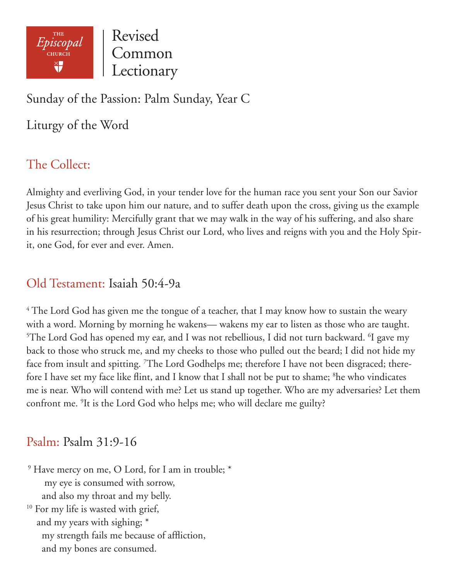

Revised Common Lectionary

Sunday of the Passion: Palm Sunday, Year C

Liturgy of the Word

# The Collect:

Almighty and everliving God, in your tender love for the human race you sent your Son our Savior Jesus Christ to take upon him our nature, and to suffer death upon the cross, giving us the example of his great humility: Mercifully grant that we may walk in the way of his suffering, and also share in his resurrection; through Jesus Christ our Lord, who lives and reigns with you and the Holy Spirit, one God, for ever and ever. Amen.

## Old Testament: Isaiah 50:4-9a

 $4$  The Lord God has given me the tongue of a teacher, that I may know how to sustain the weary with a word. Morning by morning he wakens— wakens my ear to listen as those who are taught.  $5$ The Lord God has opened my ear, and I was not rebellious, I did not turn backward.  $6$ I gave my back to those who struck me, and my cheeks to those who pulled out the beard; I did not hide my face from insult and spitting. <sup>7</sup>The Lord Godhelps me; therefore I have not been disgraced; therefore I have set my face like flint, and I know that I shall not be put to shame; <sup>8</sup>he who vindicates me is near. Who will contend with me? Let us stand up together. Who are my adversaries? Let them confront me. 9 It is the Lord God who helps me; who will declare me guilty?

## Psalm: Psalm 31:9-16

 $9$  Have mercy on me, O Lord, for I am in trouble;  $*$  my eye is consumed with sorrow, and also my throat and my belly. <sup>10</sup> For my life is wasted with grief, and my years with sighing; \* my strength fails me because of affliction, and my bones are consumed.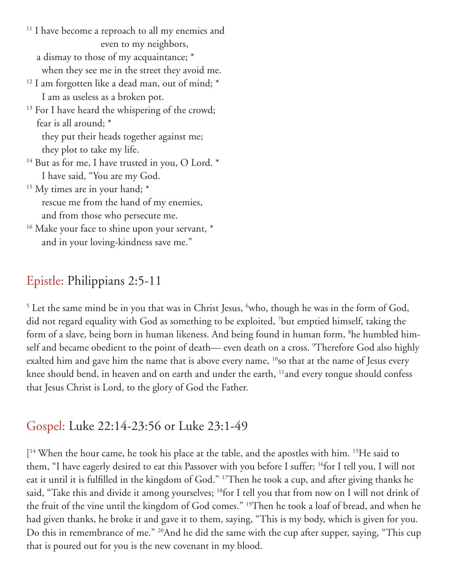<sup>11</sup> I have become a reproach to all my enemies and even to my neighbors, a dismay to those of my acquaintance; \* when they see me in the street they avoid me.

- <sup>12</sup> I am forgotten like a dead man, out of mind; \* I am as useless as a broken pot.
- <sup>13</sup> For I have heard the whispering of the crowd; fear is all around; \*

 they put their heads together against me; they plot to take my life.

- <sup>14</sup> But as for me, I have trusted in you, O Lord. \* I have said, "You are my God.
- $15$  My times are in your hand;  $*$  rescue me from the hand of my enemies, and from those who persecute me.
- <sup>16</sup> Make your face to shine upon your servant, \* and in your loving-kindness save me."

# Epistle: Philippians 2:5-11

 $5$  Let the same mind be in you that was in Christ Jesus,  $6$ who, though he was in the form of God, did not regard equality with God as something to be exploited, 7 but emptied himself, taking the form of a slave, being born in human likeness. And being found in human form, <sup>8</sup>he humbled himself and became obedient to the point of death— even death on a cross. <sup>9</sup>Therefore God also highly exalted him and gave him the name that is above every name, <sup>10</sup>so that at the name of Jesus every knee should bend, in heaven and on earth and under the earth, <sup>11</sup>and every tongue should confess that Jesus Christ is Lord, to the glory of God the Father.

## Gospel: Luke 22:14-23:56 or Luke 23:1-49

[ 14 When the hour came, he took his place at the table, and the apostles with him. 15He said to them, "I have eagerly desired to eat this Passover with you before I suffer; 16for I tell you, I will not eat it until it is fulfilled in the kingdom of God." 17Then he took a cup, and after giving thanks he said, "Take this and divide it among yourselves; <sup>18</sup>for I tell you that from now on I will not drink of the fruit of the vine until the kingdom of God comes." 19Then he took a loaf of bread, and when he had given thanks, he broke it and gave it to them, saying, "This is my body, which is given for you. Do this in remembrance of me." 20And he did the same with the cup after supper, saying, "This cup that is poured out for you is the new covenant in my blood.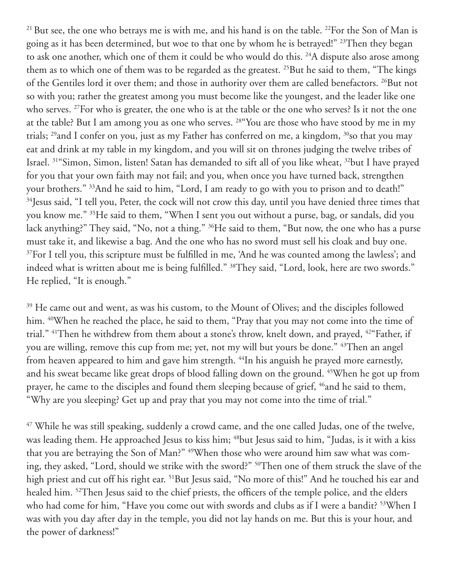<sup>21</sup> But see, the one who betrays me is with me, and his hand is on the table. <sup>22</sup>For the Son of Man is going as it has been determined, but woe to that one by whom he is betrayed!" <sup>23</sup>Then they began to ask one another, which one of them it could be who would do this. <sup>24</sup>A dispute also arose among them as to which one of them was to be regarded as the greatest. <sup>25</sup>But he said to them, "The kings of the Gentiles lord it over them; and those in authority over them are called benefactors. <sup>26</sup>But not so with you; rather the greatest among you must become like the youngest, and the leader like one who serves. <sup>27</sup>For who is greater, the one who is at the table or the one who serves? Is it not the one at the table? But I am among you as one who serves. 28"You are those who have stood by me in my trials; <sup>29</sup>and I confer on you, just as my Father has conferred on me, a kingdom, <sup>30</sup>so that you may eat and drink at my table in my kingdom, and you will sit on thrones judging the twelve tribes of Israel. 31"Simon, Simon, listen! Satan has demanded to sift all of you like wheat, 32but I have prayed for you that your own faith may not fail; and you, when once you have turned back, strengthen your brothers." 33And he said to him, "Lord, I am ready to go with you to prison and to death!" <sup>34</sup>Jesus said, "I tell you, Peter, the cock will not crow this day, until you have denied three times that you know me." 35He said to them, "When I sent you out without a purse, bag, or sandals, did you lack anything?" They said, "No, not a thing." <sup>36</sup>He said to them, "But now, the one who has a purse must take it, and likewise a bag. And the one who has no sword must sell his cloak and buy one. <sup>37</sup>For I tell you, this scripture must be fulfilled in me, 'And he was counted among the lawless'; and indeed what is written about me is being fulfilled." <sup>38</sup>They said, "Lord, look, here are two swords." He replied, "It is enough."

<sup>39</sup> He came out and went, as was his custom, to the Mount of Olives; and the disciples followed him. 40When he reached the place, he said to them, "Pray that you may not come into the time of trial." 41Then he withdrew from them about a stone's throw, knelt down, and prayed, 42"Father, if you are willing, remove this cup from me; yet, not my will but yours be done." 43Then an angel from heaven appeared to him and gave him strength. <sup>44</sup>In his anguish he prayed more earnestly, and his sweat became like great drops of blood falling down on the ground. 45When he got up from prayer, he came to the disciples and found them sleeping because of grief, <sup>46</sup>and he said to them, "Why are you sleeping? Get up and pray that you may not come into the time of trial."

<sup>47</sup> While he was still speaking, suddenly a crowd came, and the one called Judas, one of the twelve, was leading them. He approached Jesus to kiss him; <sup>48</sup>but Jesus said to him, "Judas, is it with a kiss that you are betraying the Son of Man?" 49When those who were around him saw what was coming, they asked, "Lord, should we strike with the sword?" 50Then one of them struck the slave of the high priest and cut off his right ear. <sup>51</sup>But Jesus said, "No more of this!" And he touched his ear and healed him. <sup>52</sup>Then Jesus said to the chief priests, the officers of the temple police, and the elders who had come for him, "Have you come out with swords and clubs as if I were a bandit? <sup>53</sup>When I was with you day after day in the temple, you did not lay hands on me. But this is your hour, and the power of darkness!"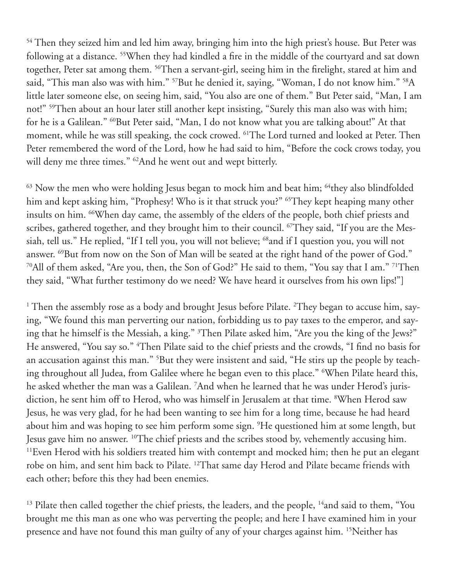<sup>54</sup> Then they seized him and led him away, bringing him into the high priest's house. But Peter was following at a distance. 55When they had kindled a fire in the middle of the courtyard and sat down together, Peter sat among them. 56Then a servant-girl, seeing him in the firelight, stared at him and said, "This man also was with him." <sup>57</sup>But he denied it, saying, "Woman, I do not know him." <sup>58</sup>A little later someone else, on seeing him, said, "You also are one of them." But Peter said, "Man, I am not!" <sup>59</sup>Then about an hour later still another kept insisting, "Surely this man also was with him; for he is a Galilean." <sup>60</sup>But Peter said, "Man, I do not know what you are talking about!" At that moment, while he was still speaking, the cock crowed. 61The Lord turned and looked at Peter. Then Peter remembered the word of the Lord, how he had said to him, "Before the cock crows today, you will deny me three times." <sup>62</sup>And he went out and wept bitterly.

 $63$  Now the men who were holding Jesus began to mock him and beat him;  $64$ they also blindfolded him and kept asking him, "Prophesy! Who is it that struck you?" <sup>65</sup>They kept heaping many other insults on him. 66When day came, the assembly of the elders of the people, both chief priests and scribes, gathered together, and they brought him to their council. <sup>67</sup>They said, "If you are the Messiah, tell us." He replied, "If I tell you, you will not believe; <sup>68</sup>and if I question you, you will not answer. 69But from now on the Son of Man will be seated at the right hand of the power of God." 70All of them asked, "Are you, then, the Son of God?" He said to them, "You say that I am." 71Then they said, "What further testimony do we need? We have heard it ourselves from his own lips!"]

 $^1$  Then the assembly rose as a body and brought Jesus before Pilate.  $^2$ They began to accuse him, saying, "We found this man perverting our nation, forbidding us to pay taxes to the emperor, and saying that he himself is the Messiah, a king." 3 Then Pilate asked him, "Are you the king of the Jews?" He answered, "You say so." 4 Then Pilate said to the chief priests and the crowds, "I find no basis for an accusation against this man." <sup>5</sup>But they were insistent and said, "He stirs up the people by teaching throughout all Judea, from Galilee where he began even to this place." 6 When Pilate heard this, he asked whether the man was a Galilean. 7 And when he learned that he was under Herod's jurisdiction, he sent him off to Herod, who was himself in Jerusalem at that time. 8 When Herod saw Jesus, he was very glad, for he had been wanting to see him for a long time, because he had heard about him and was hoping to see him perform some sign. 9 He questioned him at some length, but Jesus gave him no answer. 10The chief priests and the scribes stood by, vehemently accusing him. <sup>11</sup>Even Herod with his soldiers treated him with contempt and mocked him; then he put an elegant robe on him, and sent him back to Pilate. 12That same day Herod and Pilate became friends with each other; before this they had been enemies.

<sup>13</sup> Pilate then called together the chief priests, the leaders, and the people, <sup>14</sup>and said to them, "You brought me this man as one who was perverting the people; and here I have examined him in your presence and have not found this man guilty of any of your charges against him. 15Neither has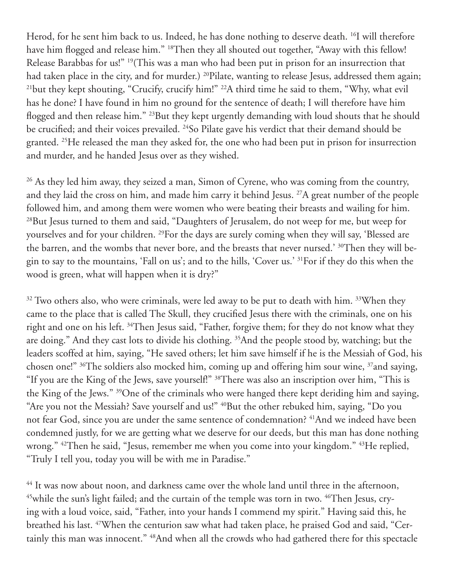Herod, for he sent him back to us. Indeed, he has done nothing to deserve death. <sup>16</sup>I will therefore have him flogged and release him." <sup>18</sup>Then they all shouted out together, "Away with this fellow! Release Barabbas for us!" 19(This was a man who had been put in prison for an insurrection that had taken place in the city, and for murder.) <sup>20</sup>Pilate, wanting to release Jesus, addressed them again; <sup>21</sup>but they kept shouting, "Crucify, crucify him!" <sup>22</sup>A third time he said to them, "Why, what evil has he done? I have found in him no ground for the sentence of death; I will therefore have him flogged and then release him." 23But they kept urgently demanding with loud shouts that he should be crucified; and their voices prevailed. <sup>24</sup>So Pilate gave his verdict that their demand should be granted. 25He released the man they asked for, the one who had been put in prison for insurrection and murder, and he handed Jesus over as they wished.

<sup>26</sup> As they led him away, they seized a man, Simon of Cyrene, who was coming from the country, and they laid the cross on him, and made him carry it behind Jesus. <sup>27</sup>A great number of the people followed him, and among them were women who were beating their breasts and wailing for him. <sup>28</sup>But Jesus turned to them and said, "Daughters of Jerusalem, do not weep for me, but weep for yourselves and for your children. 29For the days are surely coming when they will say, 'Blessed are the barren, and the wombs that never bore, and the breasts that never nursed.' <sup>30</sup>Then they will begin to say to the mountains, 'Fall on us'; and to the hills, 'Cover us.' 31For if they do this when the wood is green, what will happen when it is dry?"

 $32$  Two others also, who were criminals, were led away to be put to death with him.  $33$ When they came to the place that is called The Skull, they crucified Jesus there with the criminals, one on his right and one on his left. <sup>34</sup>Then Jesus said, "Father, forgive them; for they do not know what they are doing." And they cast lots to divide his clothing. 35And the people stood by, watching; but the leaders scoffed at him, saying, "He saved others; let him save himself if he is the Messiah of God, his chosen one!" 36The soldiers also mocked him, coming up and offering him sour wine, 37and saying, "If you are the King of the Jews, save yourself!" 38There was also an inscription over him, "This is the King of the Jews." 39One of the criminals who were hanged there kept deriding him and saying, "Are you not the Messiah? Save yourself and us!" <sup>40</sup>But the other rebuked him, saying, "Do you not fear God, since you are under the same sentence of condemnation? 41And we indeed have been condemned justly, for we are getting what we deserve for our deeds, but this man has done nothing wrong." 42Then he said, "Jesus, remember me when you come into your kingdom." 43He replied, "Truly I tell you, today you will be with me in Paradise."

<sup>44</sup> It was now about noon, and darkness came over the whole land until three in the afternoon, <sup>45</sup>while the sun's light failed; and the curtain of the temple was torn in two. <sup>46</sup>Then Jesus, crying with a loud voice, said, "Father, into your hands I commend my spirit." Having said this, he breathed his last. 47When the centurion saw what had taken place, he praised God and said, "Certainly this man was innocent." <sup>48</sup>And when all the crowds who had gathered there for this spectacle